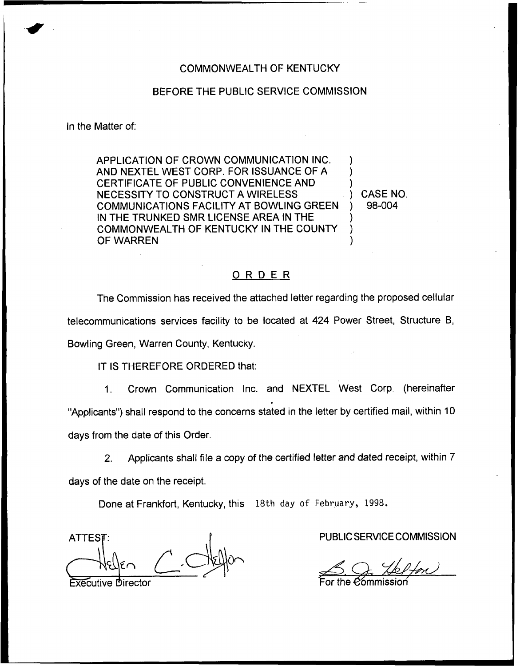## COMMONWEALTH OF KENTUCKY

## BEFORE THE PUBLIC SERVICE COMMISSION

## In the Matter of:

APPLICATION OF CROWN COMMUNICATION INC. AND NEXTEL WEST CORP. FOR ISSUANCE OF A CERTIFICATE OF PUBLIC CONVENIENCE AND NECESSITY TO CONSTRUCT A WIRELESS COMMUNICATIONS FACILITY AT BOWLING GREEN IN THE TRUNKED SMR LICENSE AREA IN THE COMMONWEALTH OF KENTUCKY IN THE COUNTY OF WARREN

) CASE NO. ) 98-004

) ) )

) ) )

## ORDER

The Commission has received the attached letter regarding the proposed cellular telecommunications services facility to be located at 424 Power Street, Structure B, Bowling Green, Warren County, Kentucky.

IT IS THEREFORE ORDERED that:

1. Crown Communication Inc. and NEXTEL West Corp. (hereinafter "Applicants") shall respond to the concerns stated in the letter by certified mail, within 10 days from the date of this Order.

2. Applicants shall file a copy of the certified letter and dated receipt, within 7 days of the date on the receipt.

Done at Frankfort, Kentucky, this 18th day of February, 1998.

**ATTEST** 

**Executive Director** 

PUBLIC SERVICE COMMISSION

For the *C*ommissic